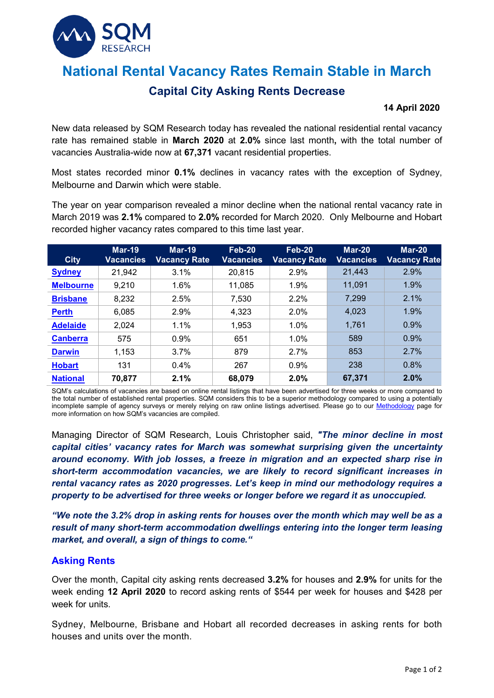

# **National Rental Vacancy Rates Remain Stable in March**

## **Capital City Asking Rents Decrease**

#### **14 April 2020**

New data released by SQM Research today has revealed the national residential rental vacancy rate has remained stable in **March 2020** at **2.0%** since last month**,** with the total number of vacancies Australia-wide now at **67,371** vacant residential properties.

Most states recorded minor **0.1%** declines in vacancy rates with the exception of Sydney, Melbourne and Darwin which were stable.

The year on year comparison revealed a minor decline when the national rental vacancy rate in March 2019 was **2.1%** compared to **2.0%** recorded for March 2020. Only Melbourne and Hobart recorded higher vacancy rates compared to this time last year.

| <b>City</b>      | <b>Mar-19</b><br>Vacancies | <b>Mar-19</b><br><b>Vacancy Rate</b> | <b>Feb-20</b><br><b>Vacancies</b> | Feb-20<br><b>Vacancy Rate</b> | $Mar-20$<br><b>Vacancies</b> | $Mar-20$<br><b>Vacancy Rate</b> |
|------------------|----------------------------|--------------------------------------|-----------------------------------|-------------------------------|------------------------------|---------------------------------|
| <b>Sydney</b>    | 21,942                     | 3.1%                                 | 20,815                            | 2.9%                          | 21,443                       | 2.9%                            |
| <b>Melbourne</b> | 9,210                      | 1.6%                                 | 11,085                            | 1.9%                          | 11,091                       | 1.9%                            |
| <b>Brisbane</b>  | 8,232                      | 2.5%                                 | 7,530                             | 2.2%                          | 7,299                        | 2.1%                            |
| <b>Perth</b>     | 6,085                      | 2.9%                                 | 4,323                             | 2.0%                          | 4,023                        | 1.9%                            |
| <b>Adelaide</b>  | 2,024                      | 1.1%                                 | 1,953                             | 1.0%                          | 1,761                        | 0.9%                            |
| <b>Canberra</b>  | 575                        | 0.9%                                 | 651                               | 1.0%                          | 589                          | 0.9%                            |
| <b>Darwin</b>    | 1,153                      | 3.7%                                 | 879                               | 2.7%                          | 853                          | 2.7%                            |
| <b>Hobart</b>    | 131                        | $0.4\%$                              | 267                               | 0.9%                          | 238                          | 0.8%                            |
| <b>National</b>  | 70,877                     | 2.1%                                 | 68,079                            | 2.0%                          | 67,371                       | 2.0%                            |

SQM's calculations of vacancies are based on online rental listings that have been advertised for three weeks or more compared to the total number of established rental properties. SQM considers this to be a superior methodology compared to using a potentially incomplete sample of agency surveys or merely relying on raw online listings advertised. Please go to our [Methodology](https://sqmresearch.com.au/graph_vacancy.php?region=nsw::Sydney&type=c&t=1#terms) page for more information on how SQM's vacancies are compiled.

Managing Director of SQM Research, Louis Christopher said, *"The minor decline in most capital cities' vacancy rates for March was somewhat surprising given the uncertainty around economy. With job losses, a freeze in migration and an expected sharp rise in short-term accommodation vacancies, we are likely to record significant increases in rental vacancy rates as 2020 progresses. Let's keep in mind our methodology requires a property to be advertised for three weeks or longer before we regard it as unoccupied.* 

*"We note the 3.2% drop in asking rents for houses over the month which may well be as a result of many short-term accommodation dwellings entering into the longer term leasing market, and overall, a sign of things to come."*

#### **Asking Rents**

Over the month, Capital city asking rents decreased **3.2%** for houses and **2.9%** for units for the week ending **12 April 2020** to record asking rents of \$544 per week for houses and \$428 per week for units.

Sydney, Melbourne, Brisbane and Hobart all recorded decreases in asking rents for both houses and units over the month.